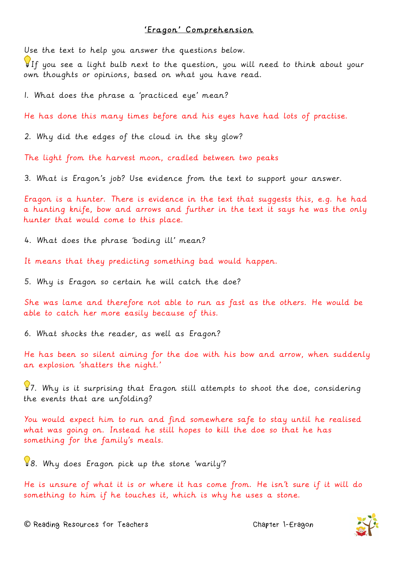## 'Eragon' Comprehension

Use the text to help you answer the questions below.

If you see a light bulb next to the question, you will need to think about your own thoughts or opinions, based on what you have read.

1. What does the phrase a 'practiced eye' mean?

He has done this many times before and his eyes have had lots of practise.

2. Why did the edges of the cloud in the sky glow?

The light from the harvest moon, cradled between two peaks

3. What is Eragon's job? Use evidence from the text to support your answer.

Eragon is a hunter. There is evidence in the text that suggests this, e.g. he had a hunting knife, bow and arrows and further in the text it says he was the only hunter that would come to this place.

4. What does the phrase 'boding ill' mean?

It means that they predicting something bad would happen.

5. Why is Eragon so certain he will catch the doe?

She was lame and therefore not able to run as fast as the others. He would be able to catch her more easily because of this.

6. What shocks the reader, as well as Eragon?

He has been so silent aiming for the doe with his bow and arrow, when suddenly an explosion 'shatters the night.'

87. Why is it surprising that Eragon still attempts to shoot the doe, considering the events that are unfolding?

You would expect him to run and find somewhere safe to stay until he realised what was going on. Instead he still hopes to kill the doe so that he has something for the family's meals.

8. Why does Eragon pick up the stone 'warily'?

He is unsure of what it is or where it has come from. He isn't sure if it will do something to him if he touches it, which is why he uses a stone.